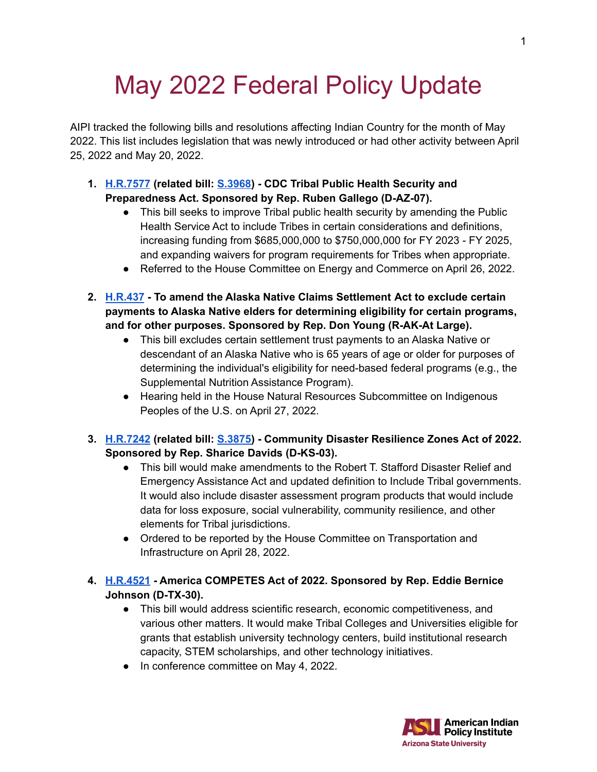# May 2022 Federal Policy Update

AIPI tracked the following bills and resolutions affecting Indian Country for the month of May 2022. This list includes legislation that was newly introduced or had other activity between April 25, 2022 and May 20, 2022.

- **1. [H.R.7577](https://www.congress.gov/bill/117th-congress/house-bill/7577) (related bill: [S.3968\)](https://www.congress.gov/bill/117th-congress/senate-bill/3968) - CDC Tribal Public Health Security and Preparedness Act. Sponsored by Rep. Ruben Gallego (D-AZ-07).**
	- This bill seeks to improve Tribal public health security by amending the Public Health Service Act to include Tribes in certain considerations and definitions, increasing funding from \$685,000,000 to \$750,000,000 for FY 2023 - FY 2025, and expanding waivers for program requirements for Tribes when appropriate.
	- Referred to the House Committee on Energy and Commerce on April 26, 2022.
- **2. [H.R.437](https://www.congress.gov/bill/117th-congress/house-bill/437) - To amend the Alaska Native Claims Settlement Act to exclude certain payments to Alaska Native elders for determining eligibility for certain programs, and for other purposes. Sponsored by Rep. Don Young (R-AK-At Large).**
	- This bill excludes certain settlement trust payments to an Alaska Native or descendant of an Alaska Native who is 65 years of age or older for purposes of determining the individual's eligibility for need-based federal programs (e.g., the Supplemental Nutrition Assistance Program).
	- Hearing held in the House Natural Resources Subcommittee on Indigenous Peoples of the U.S. on April 27, 2022.
- **3. [H.R.7242](https://www.congress.gov/bill/117th-congress/house-bill/7242) (related bill: [S.3875\)](https://www.congress.gov/bill/117th-congress/senate-bill/3875) - Community Disaster Resilience Zones Act of 2022. Sponsored by Rep. Sharice Davids (D-KS-03).**
	- This bill would make amendments to the Robert T. Stafford Disaster Relief and Emergency Assistance Act and updated definition to Include Tribal governments. It would also include disaster assessment program products that would include data for loss exposure, social vulnerability, community resilience, and other elements for Tribal jurisdictions.
	- Ordered to be reported by the House Committee on Transportation and Infrastructure on April 28, 2022.
- **4. [H.R.4521](https://www.congress.gov/bill/117th-congress/house-bill/4521) - America COMPETES Act of 2022. Sponsored by Rep. Eddie Bernice Johnson (D-TX-30).**
	- This bill would address scientific research, economic competitiveness, and various other matters. It would make Tribal Colleges and Universities eligible for grants that establish university technology centers, build institutional research capacity, STEM scholarships, and other technology initiatives.
	- In conference committee on May 4, 2022.

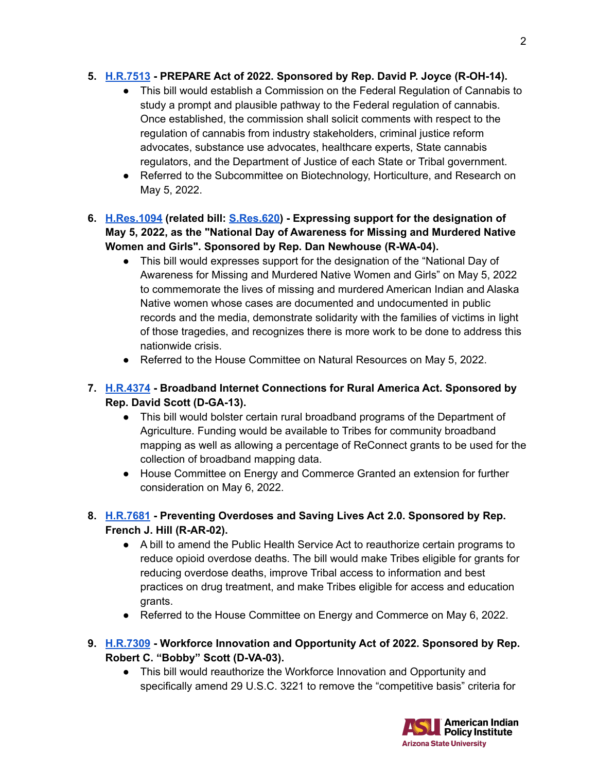#### **5. [H.R.7513](https://www.congress.gov/bill/117th-congress/house-bill/7513) - PREPARE Act of 2022. Sponsored by Rep. David P. Joyce (R-OH-14).**

- This bill would establish a Commission on the Federal Regulation of Cannabis to study a prompt and plausible pathway to the Federal regulation of cannabis. Once established, the commission shall solicit comments with respect to the regulation of cannabis from industry stakeholders, criminal justice reform advocates, substance use advocates, healthcare experts, State cannabis regulators, and the Department of Justice of each State or Tribal government.
- Referred to the Subcommittee on Biotechnology, Horticulture, and Research on May 5, 2022.
- **6. [H.Res.1094](https://www.congress.gov/bill/117th-congress/house-resolution/1094) (related bill: [S.Res.620](https://www.congress.gov/bill/117th-congress/senate-resolution/620)) - Expressing support for the designation of May 5, 2022, as the "National Day of Awareness for Missing and Murdered Native Women and Girls". Sponsored by Rep. Dan Newhouse (R-WA-04).**
	- This bill would expresses support for the designation of the "National Day of Awareness for Missing and Murdered Native Women and Girls" on May 5, 2022 to commemorate the lives of missing and murdered American Indian and Alaska Native women whose cases are documented and undocumented in public records and the media, demonstrate solidarity with the families of victims in light of those tragedies, and recognizes there is more work to be done to address this nationwide crisis.
	- Referred to the House Committee on Natural Resources on May 5, 2022.

# **7. [H.R.4374](https://www.congress.gov/bill/117th-congress/house-bill/4374) - Broadband Internet Connections for Rural America Act. Sponsored by Rep. David Scott (D-GA-13).**

- This bill would bolster certain rural broadband programs of the Department of Agriculture. Funding would be available to Tribes for community broadband mapping as well as allowing a percentage of ReConnect grants to be used for the collection of broadband mapping data.
- House Committee on Energy and Commerce Granted an extension for further consideration on May 6, 2022.
- **8. [H.R.7681](https://www.congress.gov/bill/117th-congress/house-bill/7681) - Preventing Overdoses and Saving Lives Act 2.0. Sponsored by Rep. French J. Hill (R-AR-02).**
	- A bill to amend the Public Health Service Act to reauthorize certain programs to reduce opioid overdose deaths. The bill would make Tribes eligible for grants for reducing overdose deaths, improve Tribal access to information and best practices on drug treatment, and make Tribes eligible for access and education grants.
	- Referred to the House Committee on Energy and Commerce on May 6, 2022.
- **9. [H.R.7309](https://www.congress.gov/bill/117th-congress/house-bill/7309) - Workforce Innovation and Opportunity Act of 2022. Sponsored by Rep. Robert C. "Bobby" Scott (D-VA-03).**
	- This bill would reauthorize the Workforce Innovation and Opportunity and specifically amend 29 U.S.C. 3221 to remove the "competitive basis" criteria for

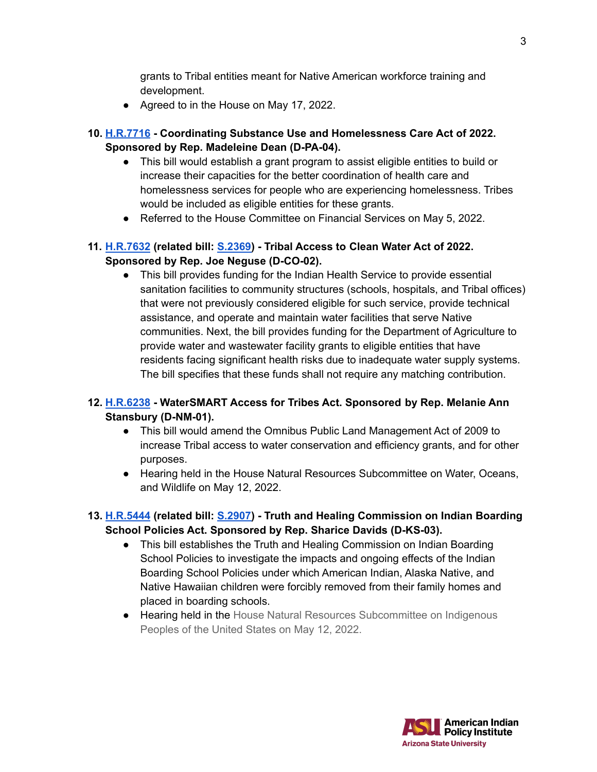grants to Tribal entities meant for Native American workforce training and development.

- Agreed to in the House on May 17, 2022.
- **10. [H.R.7716](https://www.congress.gov/bill/117th-congress/house-bill/7716) - Coordinating Substance Use and Homelessness Care Act of 2022. Sponsored by Rep. Madeleine Dean (D-PA-04).**
	- This bill would establish a grant program to assist eligible entities to build or increase their capacities for the better coordination of health care and homelessness services for people who are experiencing homelessness. Tribes would be included as eligible entities for these grants.
	- Referred to the House Committee on Financial Services on May 5, 2022.

## **11. [H.R.7632](https://www.congress.gov/bill/117th-congress/house-bill/7632?q=%7B%22search%22%3A%5B%22hr7632%22%2C%22hr7632%22%5D%7D&r=1&s=4) (related bill: [S.2369\)](https://www.congress.gov/bill/117th-congress/senate-bill/2369) - Tribal Access to Clean Water Act of 2022. Sponsored by Rep. Joe Neguse (D-CO-02).**

● This bill provides funding for the Indian Health Service to provide essential sanitation facilities to community structures (schools, hospitals, and Tribal offices) that were not previously considered eligible for such service, provide technical assistance, and operate and maintain water facilities that serve Native communities. Next, the bill provides funding for the Department of Agriculture to provide water and wastewater facility grants to eligible entities that have residents facing significant health risks due to inadequate water supply systems. The bill specifies that these funds shall not require any matching contribution.

#### **12. [H.R.6238](https://www.congress.gov/bill/117th-congress/house-bill/6238) - WaterSMART Access for Tribes Act. Sponsored by Rep. Melanie Ann Stansbury (D-NM-01).**

- This bill would amend the Omnibus Public Land Management Act of 2009 to increase Tribal access to water conservation and efficiency grants, and for other purposes.
- Hearing held in the House Natural Resources Subcommittee on Water, Oceans, and Wildlife on May 12, 2022.
- **13. [H.R.5444](https://www.congress.gov/bill/117th-congress/house-bill/5444) (related bill: [S.2907\)](https://www.congress.gov/bill/117th-congress/senate-bill/2907) - Truth and Healing Commission on Indian Boarding School Policies Act. Sponsored by Rep. Sharice Davids (D-KS-03).**
	- This bill establishes the Truth and Healing Commission on Indian Boarding School Policies to investigate the impacts and ongoing effects of the Indian Boarding School Policies under which American Indian, Alaska Native, and Native Hawaiian children were forcibly removed from their family homes and placed in boarding schools.
	- Hearing held in the House Natural Resources Subcommittee on Indigenous Peoples of the United States on May 12, 2022.

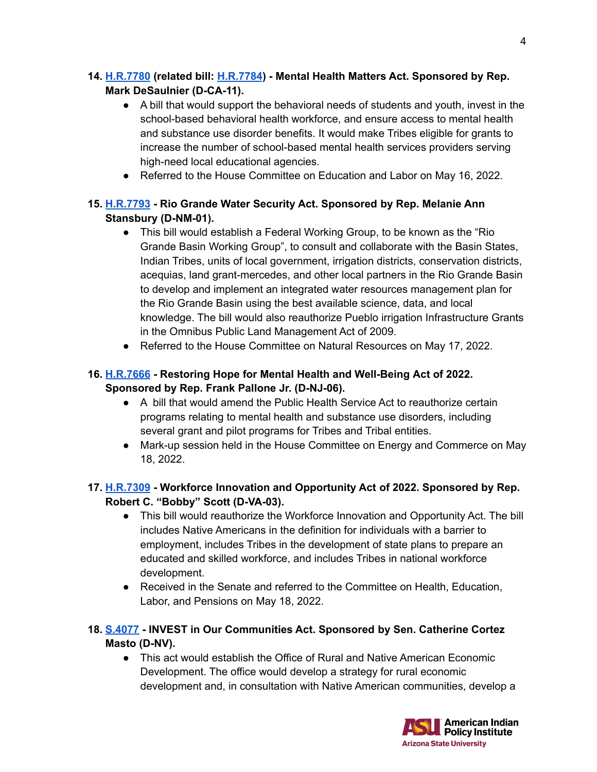## **14. [H.R.7780](https://www.congress.gov/bill/117th-congress/house-bill/7780) (related bill: [H.R.7784](https://www.congress.gov/bill/117th-congress/house-bill/7784)) - Mental Health Matters Act. Sponsored by Rep. Mark DeSaulnier (D-CA-11).**

- A bill that would support the behavioral needs of students and youth, invest in the school-based behavioral health workforce, and ensure access to mental health and substance use disorder benefits. It would make Tribes eligible for grants to increase the number of school-based mental health services providers serving high-need local educational agencies.
- Referred to the House Committee on Education and Labor on May 16, 2022.

# **15. [H.R.7793](https://www.congress.gov/bill/117th-congress/house-bill/7793) - Rio Grande Water Security Act. Sponsored by Rep. Melanie Ann Stansbury (D-NM-01).**

- This bill would establish a Federal Working Group, to be known as the "Rio Grande Basin Working Group", to consult and collaborate with the Basin States, Indian Tribes, units of local government, irrigation districts, conservation districts, acequias, land grant-mercedes, and other local partners in the Rio Grande Basin to develop and implement an integrated water resources management plan for the Rio Grande Basin using the best available science, data, and local knowledge. The bill would also reauthorize Pueblo irrigation Infrastructure Grants in the Omnibus Public Land Management Act of 2009.
- Referred to the House Committee on Natural Resources on May 17, 2022.

## **16. [H.R.7666](https://www.congress.gov/bill/117th-congress/house-bill/7666) - Restoring Hope for Mental Health and Well-Being Act of 2022. Sponsored by Rep. Frank Pallone Jr. (D-NJ-06).**

- A bill that would amend the Public Health Service Act to reauthorize certain programs relating to mental health and substance use disorders, including several grant and pilot programs for Tribes and Tribal entities.
- Mark-up session held in the House Committee on Energy and Commerce on May 18, 2022.

# **17. [H.R.7309](https://www.congress.gov/bill/117th-congress/house-bill/7309) - Workforce Innovation and Opportunity Act of 2022. Sponsored by Rep. Robert C. "Bobby" Scott (D-VA-03).**

- This bill would reauthorize the Workforce Innovation and Opportunity Act. The bill includes Native Americans in the definition for individuals with a barrier to employment, includes Tribes in the development of state plans to prepare an educated and skilled workforce, and includes Tribes in national workforce development.
- Received in the Senate and referred to the Committee on Health, Education, Labor, and Pensions on May 18, 2022.

## **18. [S.4077](https://www.congress.gov/bill/117th-congress/senate-bill/4077) - INVEST in Our Communities Act. Sponsored by Sen. Catherine Cortez Masto (D-NV).**

● This act would establish the Office of Rural and Native American Economic Development. The office would develop a strategy for rural economic development and, in consultation with Native American communities, develop a



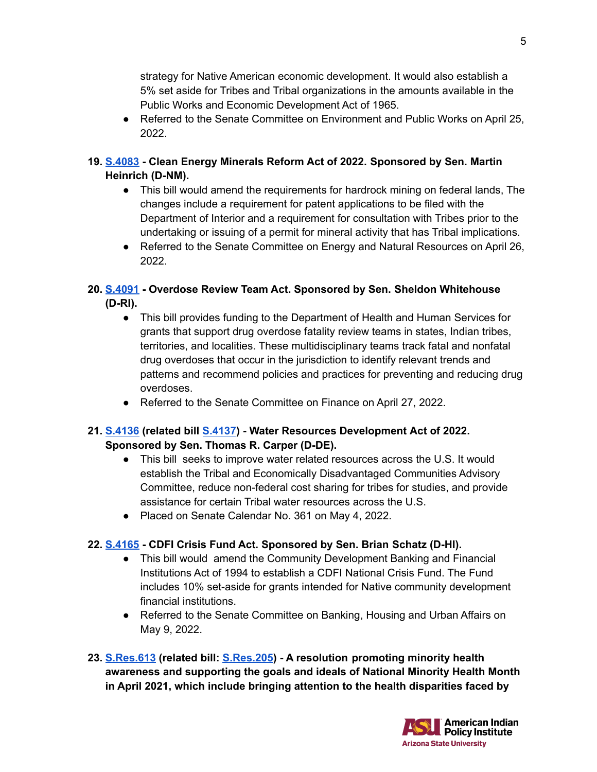strategy for Native American economic development. It would also establish a 5% set aside for Tribes and Tribal organizations in the amounts available in the Public Works and Economic Development Act of 1965.

- Referred to the Senate Committee on Environment and Public Works on April 25, 2022.
- **19. [S.4083](https://www.congress.gov/bill/117th-congress/senate-bill/4083) - Clean Energy Minerals Reform Act of 2022. Sponsored by Sen. Martin Heinrich (D-NM).**
	- This bill would amend the requirements for hardrock mining on federal lands, The changes include a requirement for patent applications to be filed with the Department of Interior and a requirement for consultation with Tribes prior to the undertaking or issuing of a permit for mineral activity that has Tribal implications.
	- Referred to the Senate Committee on Energy and Natural Resources on April 26, 2022.

#### **20. [S.4091](https://www.congress.gov/bill/117th-congress/senate-bill/4091) - Overdose Review Team Act. Sponsored by Sen. Sheldon Whitehouse (D-RI).**

- This bill provides funding to the Department of Health and Human Services for grants that support drug overdose fatality review teams in states, Indian tribes, territories, and localities. These multidisciplinary teams track fatal and nonfatal drug overdoses that occur in the jurisdiction to identify relevant trends and patterns and recommend policies and practices for preventing and reducing drug overdoses.
- Referred to the Senate Committee on Finance on April 27, 2022.

#### **21. [S.4136](https://www.congress.gov/bill/117th-congress/senate-bill/4136) (related bill [S.4137](https://www.congress.gov/bill/117th-congress/senate-bill/4137)) - Water Resources Development Act of 2022. Sponsored by Sen. Thomas R. Carper (D-DE).**

- This bill seeks to improve water related resources across the U.S. It would establish the Tribal and Economically Disadvantaged Communities Advisory Committee, reduce non-federal cost sharing for tribes for studies, and provide assistance for certain Tribal water resources across the U.S.
- Placed on Senate Calendar No. 361 on May 4, 2022.

#### **22. [S.4165](https://www.congress.gov/bill/117th-congress/senate-bill/4165) - CDFI Crisis Fund Act. Sponsored by Sen. Brian Schatz (D-HI).**

- This bill would amend the Community Development Banking and Financial Institutions Act of 1994 to establish a CDFI National Crisis Fund. The Fund includes 10% set-aside for grants intended for Native community development financial institutions.
- Referred to the Senate Committee on Banking, Housing and Urban Affairs on May 9, 2022.
- **23. [S.Res.613](https://www.congress.gov/bill/117th-congress/senate-resolution/613) (related bill: [S.Res.205](https://www.congress.gov/bill/117th-congress/senate-resolution/205)) - A resolution promoting minority health awareness and supporting the goals and ideals of National Minority Health Month in April 2021, which include bringing attention to the health disparities faced by**

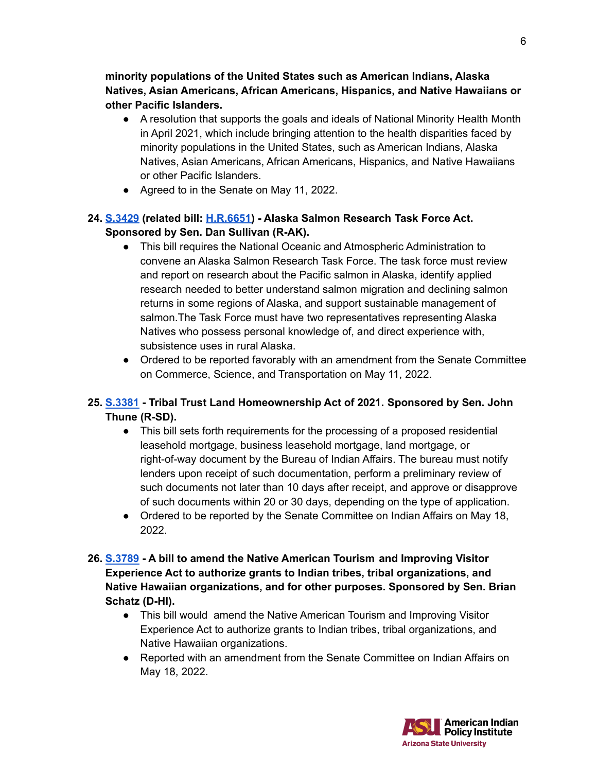**minority populations of the United States such as American Indians, Alaska Natives, Asian Americans, African Americans, Hispanics, and Native Hawaiians or other Pacific Islanders.**

- A resolution that supports the goals and ideals of National Minority Health Month in April 2021, which include bringing attention to the health disparities faced by minority populations in the United States, such as American Indians, Alaska Natives, Asian Americans, African Americans, Hispanics, and Native Hawaiians or other Pacific Islanders.
- Agreed to in the Senate on May 11, 2022.

## **24. [S.3429](https://www.congress.gov/bill/117th-congress/senate-bill/3429) (related bill: [H.R.6651\)](https://www.congress.gov/bill/117th-congress/house-bill/6651) - Alaska Salmon Research Task Force Act. Sponsored by Sen. Dan Sullivan (R-AK).**

- This bill requires the National Oceanic and Atmospheric Administration to convene an Alaska Salmon Research Task Force. The task force must review and report on research about the Pacific salmon in Alaska, identify applied research needed to better understand salmon migration and declining salmon returns in some regions of Alaska, and support sustainable management of salmon.The Task Force must have two representatives representing Alaska Natives who possess personal knowledge of, and direct experience with, subsistence uses in rural Alaska.
- Ordered to be reported favorably with an amendment from the Senate Committee on Commerce, Science, and Transportation on May 11, 2022.

## **25. [S.3381](https://www.congress.gov/bill/117th-congress/senate-bill/3381) - Tribal Trust Land Homeownership Act of 2021. Sponsored by Sen. John Thune (R-SD).**

- This bill sets forth requirements for the processing of a proposed residential leasehold mortgage, business leasehold mortgage, land mortgage, or right-of-way document by the Bureau of Indian Affairs. The bureau must notify lenders upon receipt of such documentation, perform a preliminary review of such documents not later than 10 days after receipt, and approve or disapprove of such documents within 20 or 30 days, depending on the type of application.
- Ordered to be reported by the Senate Committee on Indian Affairs on May 18, 2022.
- **26. [S.3789](https://www.congress.gov/bill/117th-congress/senate-bill/3789) - A bill to amend the Native American Tourism and Improving Visitor Experience Act to authorize grants to Indian tribes, tribal organizations, and Native Hawaiian organizations, and for other purposes. Sponsored by Sen. Brian Schatz (D-HI).**
	- This bill would amend the Native American Tourism and Improving Visitor Experience Act to authorize grants to Indian tribes, tribal organizations, and Native Hawaiian organizations.
	- Reported with an amendment from the Senate Committee on Indian Affairs on May 18, 2022.